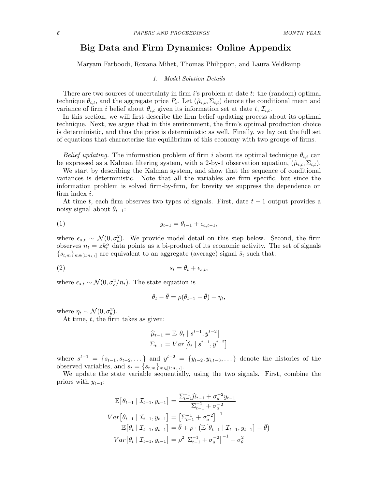# Big Data and Firm Dynamics: Online Appendix

Maryam Farboodi, Roxana Mihet, Thomas Philippon, and Laura Veldkamp

## 1. Model Solution Details

There are two sources of uncertainty in firm is problem at date t: the (random) optimal technique  $\theta_{i,t}$ , and the aggregate price  $P_t$ . Let  $(\hat{\mu}_{i,t}, \Sigma_{i,t})$  denote the conditional mean and variance of firm i belief about  $\theta_{i,t}$  given its information set at date t,  $\mathcal{I}_{i,t}$ .

In this section, we will first describe the firm belief updating process about its optimal technique. Next, we argue that in this environment, the firm's optimal production choice is deterministic, and thus the price is deterministic as well. Finally, we lay out the full set of equations that characterize the equilibrium of this economy with two groups of firms.

Belief updating. The information problem of firm i about its optimal technique  $\theta_{i,t}$  can be expressed as a Kalman filtering system, with a 2-by-1 observation equation,  $(\hat{\mu}_{i,t}, \Sigma_{i,t})$ .

We start by describing the Kalman system, and show that the sequence of conditional variances is deterministic. Note that all the variables are firm specific, but since the information problem is solved firm-by-firm, for brevity we suppress the dependence on firm index i.

At time t, each firm observes two types of signals. First, date  $t-1$  output provides a noisy signal about  $\theta_{t-1}$ :

(1) 
$$
y_{t-1} = \theta_{t-1} + \epsilon_{a,t-1},
$$

where  $\epsilon_{a,t} \sim \mathcal{N}(0, \sigma_a^2)$ . We provide model detail on this step below. Second, the firm observes  $n_t = z k_t^{\alpha}$  data points as a bi-product of its economic activity. The set of signals  ${s_{t,m}}_{m \in [1:n_{i,t}]}$  are equivalent to an aggregate (average) signal  $\bar{s}_t$  such that:

$$
\overline{s}_t = \theta_t + \epsilon_{s,t},
$$

where  $\epsilon_{s,t} \sim \mathcal{N}(0, \sigma_{\epsilon}^2/n_t)$ . The state equation is

$$
\theta_t - \bar{\theta} = \rho(\theta_{t-1} - \bar{\theta}) + \eta_t,
$$

where  $\eta_t \sim \mathcal{N}(0, \sigma_\theta^2)$ .

At time,  $t$ , the firm takes as given:

$$
\widehat{\mu}_{t-1} = \mathbb{E} \left[ \theta_t \mid s^{t-1}, y^{t-2} \right] \n\Sigma_{t-1} = Var \left[ \theta_t \mid s^{t-1}, y^{t-2} \right]
$$

where  $s^{t-1} = \{s_{t-1}, s_{t-2}, \dots\}$  and  $y^{t-2} = \{y_{t-2}, y_{i,t-3}, \dots\}$  denote the histories of the observed variables, and  $s_t = \{s_{t,m}\}_{m \in [1:n_{i,t}]}$ .

We update the state variable sequentially, using the two signals. First, combine the priors with  $y_{t-1}$ :

$$
\mathbb{E}\left[\theta_{t-1} \mid \mathcal{I}_{t-1}, y_{t-1}\right] = \frac{\sum_{t-1}^{-1} \hat{\mu}_{t-1} + \sigma_a^{-2} y_{t-1}}{\sum_{t-1}^{-1} + \sigma_a^{-2}}
$$
\n
$$
Var\left[\theta_{t-1} \mid \mathcal{I}_{t-1}, y_{t-1}\right] = \left[\sum_{t-1}^{-1} + \sigma_a^{-2}\right]^{-1}
$$
\n
$$
\mathbb{E}\left[\theta_t \mid \mathcal{I}_{t-1}, y_{t-1}\right] = \bar{\theta} + \rho \cdot \left(\mathbb{E}\left[\theta_{t-1} \mid \mathcal{I}_{t-1}, y_{t-1}\right] - \bar{\theta}\right)
$$
\n
$$
Var\left[\theta_t \mid \mathcal{I}_{t-1}, y_{t-1}\right] = \rho^2 \left[\sum_{t-1}^{-1} + \sigma_a^{-2}\right]^{-1} + \sigma_\theta^2
$$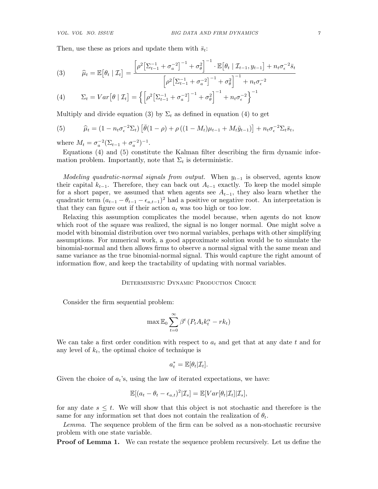Then, use these as priors and update them with  $\bar{s}_t$ :

(3) 
$$
\widehat{\mu}_t = \mathbb{E} \big[ \theta_t \mid \mathcal{I}_t \big] = \frac{\left[ \rho^2 \big[ \Sigma_{t-1}^{-1} + \sigma_a^{-2} \big]^{-1} + \sigma_\theta^2 \right]^{-1} \cdot \mathbb{E} \big[ \theta_t \mid \mathcal{I}_{t-1}, y_{t-1} \big] + n_t \sigma_\epsilon^{-2} \bar{s}_t}{\left[ \rho^2 \big[ \Sigma_{t-1}^{-1} + \sigma_a^{-2} \big]^{-1} + \sigma_\theta^2 \right]^{-1} + n_t \sigma_\epsilon^{-2}}
$$

(4) 
$$
\Sigma_t = Var[\theta | \mathcal{I}_t] = \left\{ \left[ \rho^2 \left[ \Sigma_{t-1}^{-1} + \sigma_a^{-2} \right]^{-1} + \sigma_\theta^2 \right]^{-1} + n_t \sigma_\epsilon^{-2} \right\}^{-1}
$$

Multiply and divide equation (3) by  $\Sigma_t$  as defined in equation (4) to get

(5) 
$$
\widehat{\mu}_t = (1 - n_t \sigma_\epsilon^{-2} \Sigma_t) \left[ \overline{\theta} (1 - \rho) + \rho \left( (1 - M_t) \mu_{t-1} + M_t \tilde{y}_{t-1} \right) \right] + n_t \sigma_\epsilon^{-2} \Sigma_t \overline{s}_t,
$$

where  $M_t = \sigma_a^{-2} (\Sigma_{t-1} + \sigma_a^{-2})^{-1}$ .

Equations (4) and (5) constitute the Kalman filter describing the firm dynamic information problem. Importantly, note that  $\Sigma_t$  is deterministic.

Modeling quadratic-normal signals from output. When  $y_{t-1}$  is observed, agents know their capital  $k_{t-1}$ . Therefore, they can back out  $A_{t-1}$  exactly. To keep the model simple for a short paper, we assumed that when agents see  $A_{t-1}$ , they also learn whether the quadratic term  $(a_{t-1} - \theta_{t-1} - \epsilon_{a,t-1})^2$  had a positive or negative root. An interpretation is that they can figure out if their action  $a_t$  was too high or too low.

Relaxing this assumption complicates the model because, when agents do not know which root of the square was realized, the signal is no longer normal. One might solve a model with binomial distribution over two normal variables, perhaps with other simplifying assumptions. For numerical work, a good approximate solution would be to simulate the binomial-normal and then allows firms to observe a normal signal with the same mean and same variance as the true binomial-normal signal. This would capture the right amount of information flow, and keep the tractability of updating with normal variables.

## DETERMINISTIC DYNAMIC PRODUCTION CHOICE

Consider the firm sequential problem:

$$
\max \mathbb{E}_0 \sum_{t=0}^{\infty} \beta^t \left( P_t A_t k_t^{\alpha} - r k_t \right)
$$

We can take a first order condition with respect to  $a_t$  and get that at any date t and for any level of  $k_t$ , the optimal choice of technique is

$$
a_t^* = \mathbb{E}[\theta_t | \mathcal{I}_t].
$$

Given the choice of  $a_t$ 's, using the law of iterated expectations, we have:

$$
\mathbb{E}[(a_t - \theta_t - \epsilon_{a,t})^2 | \mathcal{I}_s] = \mathbb{E}[Var[\theta_t | \mathcal{I}_t] | \mathcal{I}_s],
$$

for any date  $s \leq t$ . We will show that this object is not stochastic and therefore is the same for any information set that does not contain the realization of  $\theta_t$ .

Lemma. The sequence problem of the firm can be solved as a non-stochastic recursive problem with one state variable.

**Proof of Lemma 1.** We can restate the sequence problem recursively. Let us define the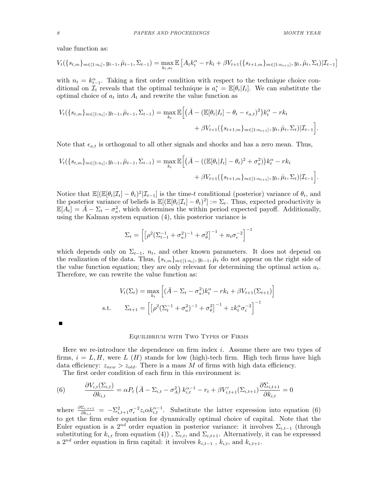value function as:

$$
V_t(\{s_{t,m}\}_{m\in[1:n_t]}, y_{t-1}, \hat{\mu}_{t-1}, \Sigma_{t-1}) = \max_{k_t, a_t} \mathbb{E}\left[A_t k_t^{\alpha} - rk_t + \beta V_{t+1}(\{s_{t+1,m}\}_{m\in[1:n_{t+1}]}, y_t, \hat{\mu}_t, \Sigma_t)|\mathcal{I}_{t-1}\right]
$$

with  $n_t = k_{t-1}^{\alpha}$ . Taking a first order condition with respect to the technique choice conditional on  $\mathcal{I}_t$  reveals that the optimal technique is  $a_t^* = \mathbb{E}[\theta_t | I_t]$ . We can substitute the optimal choice of  $a_t$  into  $A_t$  and rewrite the value function as

$$
V_t(\{s_{t,m}\}_{m\in[1:n_t]}, y_{t-1}, \hat{\mu}_{t-1}, \Sigma_{t-1}) = \max_{k_t} \mathbb{E}\Big[\Big(\bar{A} - (\mathbb{E}[\theta_t|I_t] - \theta_t - \epsilon_{a,t})^2\Big)k_t^{\alpha} - rk_t + \beta V_{t+1}(\{s_{t+1,m}\}_{m\in[1:n_{t+1}]}, y_t, \hat{\mu}_t, \Sigma_t)|\mathcal{I}_{t-1}\Big].
$$

Note that  $\epsilon_{a,t}$  is orthogonal to all other signals and shocks and has a zero mean. Thus,

$$
V_t(\{s_{t,m}\}_{m\in[1:n_t]}, y_{t-1}, \hat{\mu}_{t-1}, \Sigma_{t-1}) = \max_{k_t} \mathbb{E}\Big[\Big(\bar{A} - ((\mathbb{E}[\theta_t|I_t] - \theta_t)^2 + \sigma_a^2)\Big)k_t^{\alpha} - rk_t + \beta V_{t+1}(\{s_{t+1,m}\}_{m\in[1:n_{t+1}]}, y_t, \hat{\mu}_t, \Sigma_t)|\mathcal{I}_{t-1}\Big].
$$

Notice that  $\mathbb{E}[(\mathbb{E}[\theta_t|\mathcal{I}_t] - \theta_t)^2|\mathcal{I}_{t-1}]$  is the time-t conditional (posterior) variance of  $\theta_t$ , and the posterior variance of beliefs is  $\mathbb{E}[(\mathbb{E}[\theta_t|\mathcal{I}_t] - \theta_t)^2] := \Sigma_t$ . Thus, expected productivity is  $\mathbb{E}[A_t] = \bar{A} - \Sigma_t - \sigma_a^2$ , which determines the within period expected payoff. Additionally, using the Kalman system equation (4), this posterior variance is

$$
\Sigma_{t} = \left[ \left[ \rho^{2} (\Sigma_{t-1}^{-1} + \sigma_{a}^{2})^{-1} + \sigma_{\theta}^{2} \right]^{-1} + n_{t} \sigma_{\epsilon}^{-2} \right]^{-1}
$$

which depends only on  $\Sigma_{t-1}$ ,  $n_t$ , and other known parameters. It does not depend on the realization of the data. Thus,  $\{s_{t,m}\}_{m\in[1:n_t]}, y_{t-1}, \hat{\mu}_t$  do not appear on the right side of the value function equation; they are only relevant for determining the optimal action  $a_t$ . Therefore, we can rewrite the value function as:

$$
V_t(\Sigma_t) = \max_{k_t} \left[ (\bar{A} - \Sigma_t - \sigma_a^2) k_t^{\alpha} - rk_t + \beta V_{t+1}(\Sigma_{t+1}) \right]
$$
  
s.t. 
$$
\Sigma_{t+1} = \left[ \left[ \rho^2 (\Sigma_t^{-1} + \sigma_a^2)^{-1} + \sigma_\theta^2 \right]^{-1} + z k_t^{\alpha} \sigma_\epsilon^{-2} \right]^{-1}
$$

### Equilibrium with Two Types of Firms

Here we re-introduce the dependence on firm index  $i$ . Assume there are two types of firms,  $i = L, H$ , were L (H) stands for low (high)-tech firm. High tech firms have high data efficiency:  $z_{new} > z_{old}$ . There is a mass M of firms with high data efficiency.

The first order condition of each firm in this environment is:

(6) 
$$
\frac{\partial V_{i,t}(\Sigma_{i,t})}{\partial k_{i,t}} = \alpha P_t \left( \bar{A} - \Sigma_{i,t} - \sigma_A^2 \right) k_{i,t}^{\alpha - 1} - r_t + \beta V'_{i,t+1}(\Sigma_{i,t+1}) \frac{\partial \Sigma_{i,t+1}}{\partial k_{i,t}} = 0
$$

where  $\frac{\partial \Sigma_{i,t+1}}{\partial k_{i,t}} = -\Sigma_{i,t+1}^2 \sigma_\epsilon^{-2} z_i \alpha k_{i,t}^{\alpha-1}$ . Substitute the latter expression into equation (6) to get the firm euler equation for dynamically optimal choice of capital. Note that the Euler equation is a 2<sup>nd</sup> order equation in posterior variance: it involves  $\Sigma_{i,t-1}$  (through substituting for  $k_{i,t}$  from equation (4)),  $\Sigma_{i,t}$ , and  $\Sigma_{i,t+1}$ . Alternatively, it can be expressed a  $2^{nd}$  order equation in firm capital: it involves  $k_{i,t-1}$ ,  $k_{i,t}$ , and  $k_{i,t+1}$ .